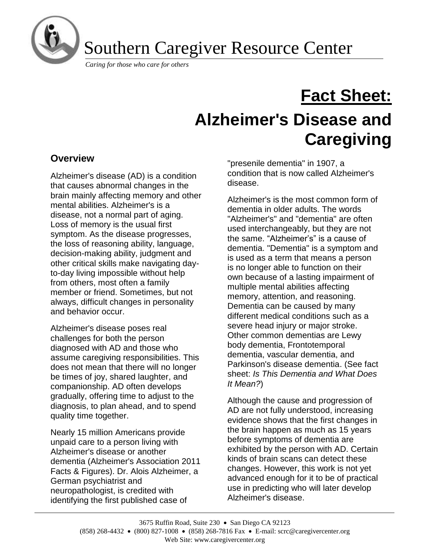

Southern Caregiver Resource Center

*Caring for those who care for others*

# **Fact Sheet: Alzheimer's Disease and Caregiving**

# **Overview**

Alzheimer's disease (AD) is a condition that causes abnormal changes in the brain mainly affecting memory and other mental abilities. Alzheimer's is a disease, not a normal part of aging. Loss of memory is the usual first symptom. As the disease progresses, the loss of reasoning ability, language, decision-making ability, judgment and other critical skills make navigating dayto-day living impossible without help from others, most often a family member or friend. Sometimes, but not always, difficult changes in personality and behavior occur.

Alzheimer's disease poses real challenges for both the person diagnosed with AD and those who assume caregiving responsibilities. This does not mean that there will no longer be times of joy, shared laughter, and companionship. AD often develops gradually, offering time to adjust to the diagnosis, to plan ahead, and to spend quality time together.

Nearly 15 million Americans provide unpaid care to a person living with Alzheimer's disease or another dementia (Alzheimer's Association 2011 Facts & Figures). Dr. Alois Alzheimer, a German psychiatrist and neuropathologist, is credited with identifying the first published case of

"presenile dementia" in 1907, a condition that is now called Alzheimer's disease.

Alzheimer's is the most common form of dementia in older adults. The words "Alzheimer's" and "dementia" are often used interchangeably, but they are not the same. "Alzheimer's" is a cause of dementia. "Dementia" is a symptom and is used as a term that means a person is no longer able to function on their own because of a lasting impairment of multiple mental abilities affecting memory, attention, and reasoning. Dementia can be caused by many different medical conditions such as a severe head injury or major stroke. Other common dementias are Lewy body dementia, Frontotemporal dementia, vascular dementia, and Parkinson's disease dementia. (See fact sheet: *Is This Dementia and What Does It Mean?*)

Although the cause and progression of AD are not fully understood, increasing evidence shows that the first changes in the brain happen as much as 15 years before symptoms of dementia are exhibited by the person with AD. Certain kinds of brain scans can detect these changes. However, this work is not yet advanced enough for it to be of practical use in predicting who will later develop Alzheimer's disease.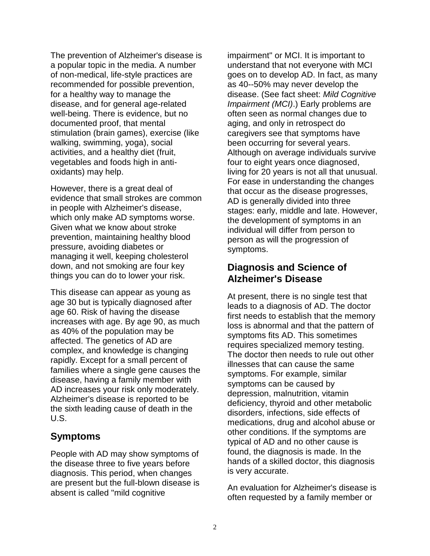The prevention of Alzheimer's disease is a popular topic in the media. A number of non-medical, life-style practices are recommended for possible prevention, for a healthy way to manage the disease, and for general age-related well-being. There is evidence, but no documented proof, that mental stimulation (brain games), exercise (like walking, swimming, yoga), social activities, and a healthy diet (fruit, vegetables and foods high in antioxidants) may help.

However, there is a great deal of evidence that small strokes are common in people with Alzheimer's disease, which only make AD symptoms worse. Given what we know about stroke prevention, maintaining healthy blood pressure, avoiding diabetes or managing it well, keeping cholesterol down, and not smoking are four key things you can do to lower your risk.

This disease can appear as young as age 30 but is typically diagnosed after age 60. Risk of having the disease increases with age. By age 90, as much as 40% of the population may be affected. The genetics of AD are complex, and knowledge is changing rapidly. Except for a small percent of families where a single gene causes the disease, having a family member with AD increases your risk only moderately. Alzheimer's disease is reported to be the sixth leading cause of death in the U.S.

# **Symptoms**

People with AD may show symptoms of the disease three to five years before diagnosis. This period, when changes are present but the full-blown disease is absent is called "mild cognitive

impairment" or MCI. It is important to understand that not everyone with MCI goes on to develop AD. In fact, as many as 40--50% may never develop the disease. (See fact sheet: *Mild Cognitive Impairment (MCI)*.) Early problems are often seen as normal changes due to aging, and only in retrospect do caregivers see that symptoms have been occurring for several years. Although on average individuals survive four to eight years once diagnosed, living for 20 years is not all that unusual. For ease in understanding the changes that occur as the disease progresses, AD is generally divided into three stages: early, middle and late. However, the development of symptoms in an individual will differ from person to person as will the progression of symptoms.

# **Diagnosis and Science of Alzheimer's Disease**

At present, there is no single test that leads to a diagnosis of AD. The doctor first needs to establish that the memory loss is abnormal and that the pattern of symptoms fits AD. This sometimes requires specialized memory testing. The doctor then needs to rule out other illnesses that can cause the same symptoms. For example, similar symptoms can be caused by depression, malnutrition, vitamin deficiency, thyroid and other metabolic disorders, infections, side effects of medications, drug and alcohol abuse or other conditions. If the symptoms are typical of AD and no other cause is found, the diagnosis is made. In the hands of a skilled doctor, this diagnosis is very accurate.

An evaluation for Alzheimer's disease is often requested by a family member or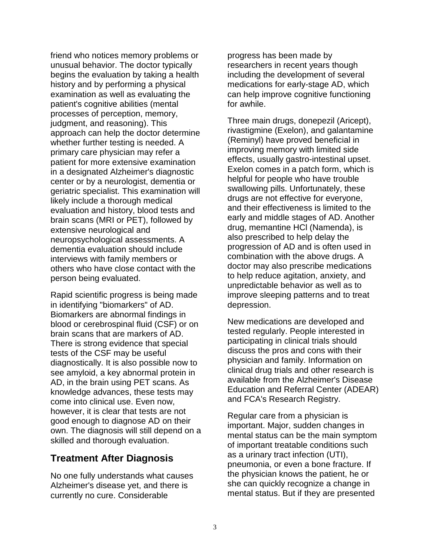friend who notices memory problems or unusual behavior. The doctor typically begins the evaluation by taking a health history and by performing a physical examination as well as evaluating the patient's cognitive abilities (mental processes of perception, memory, judgment, and reasoning). This approach can help the doctor determine whether further testing is needed. A primary care physician may refer a patient for more extensive examination in a designated Alzheimer's diagnostic center or by a neurologist, dementia or geriatric specialist. This examination will likely include a thorough medical evaluation and history, blood tests and brain scans (MRI or PET), followed by extensive neurological and neuropsychological assessments. A dementia evaluation should include interviews with family members or others who have close contact with the person being evaluated.

Rapid scientific progress is being made in identifying "biomarkers" of AD. Biomarkers are abnormal findings in blood or cerebrospinal fluid (CSF) or on brain scans that are markers of AD. There is strong evidence that special tests of the CSF may be useful diagnostically. It is also possible now to see amyloid, a key abnormal protein in AD, in the brain using PET scans. As knowledge advances, these tests may come into clinical use. Even now, however, it is clear that tests are not good enough to diagnose AD on their own. The diagnosis will still depend on a skilled and thorough evaluation.

# **Treatment After Diagnosis**

No one fully understands what causes Alzheimer's disease yet, and there is currently no cure. Considerable

progress has been made by researchers in recent years though including the development of several medications for early-stage AD, which can help improve cognitive functioning for awhile.

Three main drugs, donepezil (Aricept), rivastigmine (Exelon), and galantamine (Reminyl) have proved beneficial in improving memory with limited side effects, usually gastro-intestinal upset. Exelon comes in a patch form, which is helpful for people who have trouble swallowing pills. Unfortunately, these drugs are not effective for everyone, and their effectiveness is limited to the early and middle stages of AD. Another drug, memantine HCl (Namenda), is also prescribed to help delay the progression of AD and is often used in combination with the above drugs. A doctor may also prescribe medications to help reduce agitation, anxiety, and unpredictable behavior as well as to improve sleeping patterns and to treat depression.

New medications are developed and tested regularly. People interested in participating in clinical trials should discuss the pros and cons with their physician and family. Information on clinical drug trials and other research is available from the Alzheimer's Disease Education and Referral Center (ADEAR) and FCA's Research Registry.

Regular care from a physician is important. Major, sudden changes in mental status can be the main symptom of important treatable conditions such as a urinary tract infection (UTI), pneumonia, or even a bone fracture. If the physician knows the patient, he or she can quickly recognize a change in mental status. But if they are presented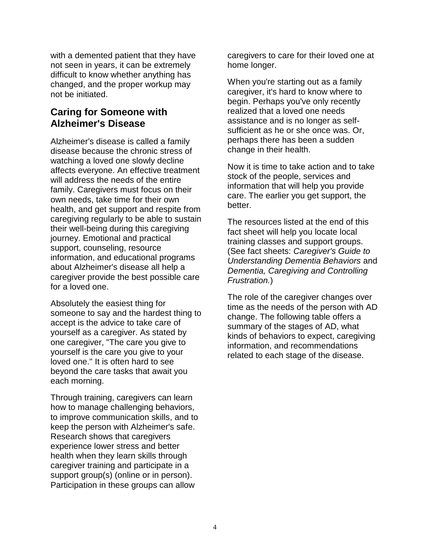with a demented patient that they have not seen in years, it can be extremely difficult to know whether anything has changed, and the proper workup may not be initiated.

# **Caring for Someone with Alzheimer's Disease**

Alzheimer's disease is called a family disease because the chronic stress of watching a loved one slowly decline affects everyone. An effective treatment will address the needs of the entire family. Caregivers must focus on their own needs, take time for their own health, and get support and respite from caregiving regularly to be able to sustain their well-being during this caregiving journey. Emotional and practical support, counseling, resource information, and educational programs about Alzheimer's disease all help a caregiver provide the best possible care for a loved one.

Absolutely the easiest thing for someone to say and the hardest thing to accept is the advice to take care of yourself as a caregiver. As stated by one caregiver, "The care you give to yourself is the care you give to your loved one." It is often hard to see beyond the care tasks that await you each morning.

Through training, caregivers can learn how to manage challenging behaviors, to improve communication skills, and to keep the person with Alzheimer's safe. Research shows that caregivers experience lower stress and better health when they learn skills through caregiver training and participate in a support group(s) (online or in person). Participation in these groups can allow

caregivers to care for their loved one at home longer.

When you're starting out as a family caregiver, it's hard to know where to begin. Perhaps you've only recently realized that a loved one needs assistance and is no longer as selfsufficient as he or she once was. Or, perhaps there has been a sudden change in their health.

Now it is time to take action and to take stock of the people, services and information that will help you provide care. The earlier you get support, the better.

The resources listed at the end of this fact sheet will help you locate local training classes and support groups. (See fact sheets: *Caregiver's Guide to Understanding Dementia Behaviors* and *Dementia, Caregiving and Controlling Frustration.*)

The role of the caregiver changes over time as the needs of the person with AD change. The following table offers a summary of the stages of AD, what kinds of behaviors to expect, caregiving information, and recommendations related to each stage of the disease.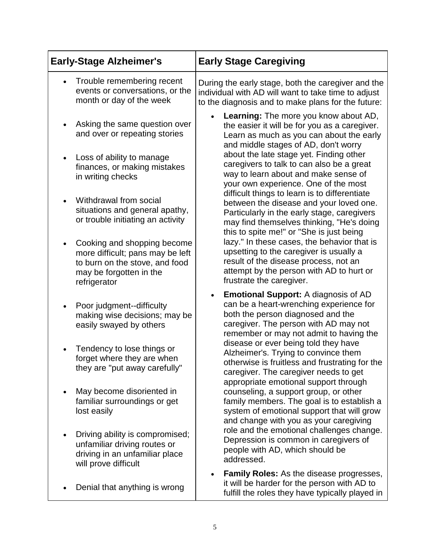| <b>Early-Stage Alzheimer's</b>                                                                                                                            | <b>Early Stage Caregiving</b>                                                                                                                                                                                                                       |
|-----------------------------------------------------------------------------------------------------------------------------------------------------------|-----------------------------------------------------------------------------------------------------------------------------------------------------------------------------------------------------------------------------------------------------|
| Trouble remembering recent<br>events or conversations, or the<br>month or day of the week                                                                 | During the early stage, both the caregiver and the<br>individual with AD will want to take time to adjust<br>to the diagnosis and to make plans for the future:                                                                                     |
| Asking the same question over<br>and over or repeating stories                                                                                            | <b>Learning:</b> The more you know about AD,<br>the easier it will be for you as a caregiver.<br>Learn as much as you can about the early<br>and middle stages of AD, don't worry                                                                   |
| Loss of ability to manage<br>finances, or making mistakes<br>in writing checks                                                                            | about the late stage yet. Finding other<br>caregivers to talk to can also be a great<br>way to learn about and make sense of<br>your own experience. One of the most                                                                                |
| Withdrawal from social<br>$\bullet$<br>situations and general apathy,<br>or trouble initiating an activity                                                | difficult things to learn is to differentiate<br>between the disease and your loved one.<br>Particularly in the early stage, caregivers<br>may find themselves thinking, "He's doing                                                                |
| Cooking and shopping become<br>$\bullet$<br>more difficult; pans may be left<br>to burn on the stove, and food<br>may be forgotten in the<br>refrigerator | this to spite me!" or "She is just being<br>lazy." In these cases, the behavior that is<br>upsetting to the caregiver is usually a<br>result of the disease process, not an<br>attempt by the person with AD to hurt or<br>frustrate the caregiver. |
| Poor judgment--difficulty<br>$\bullet$<br>making wise decisions; may be<br>easily swayed by others                                                        | <b>Emotional Support: A diagnosis of AD</b><br>$\bullet$<br>can be a heart-wrenching experience for<br>both the person diagnosed and the<br>caregiver. The person with AD may not<br>remember or may not admit to having the                        |
| Tendency to lose things or<br>forget where they are when<br>they are "put away carefully"                                                                 | disease or ever being told they have<br>Alzheimer's. Trying to convince them<br>otherwise is fruitless and frustrating for the<br>caregiver. The caregiver needs to get                                                                             |
| May become disoriented in<br>familiar surroundings or get<br>lost easily                                                                                  | appropriate emotional support through<br>counseling, a support group, or other<br>family members. The goal is to establish a<br>system of emotional support that will grow<br>and change with you as your caregiving                                |
| Driving ability is compromised;<br>unfamiliar driving routes or<br>driving in an unfamiliar place<br>will prove difficult                                 | role and the emotional challenges change.<br>Depression is common in caregivers of<br>people with AD, which should be<br>addressed.                                                                                                                 |
| Denial that anything is wrong                                                                                                                             | <b>Family Roles:</b> As the disease progresses,<br>it will be harder for the person with AD to<br>fulfill the roles they have typically played in                                                                                                   |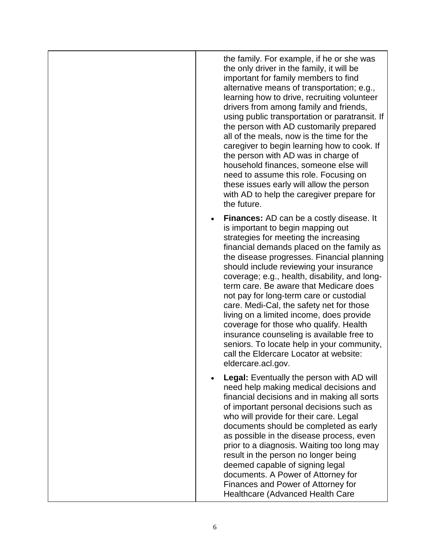the family. For example, if he or she was the only driver in the family, it will be important for family members to find alternative means of transportation; e.g., learning how to drive, recruiting volunteer drivers from among family and friends, using public transportation or paratransit. If the person with AD customarily prepared all of the meals, now is the time for the caregiver to begin learning how to cook. If the person with AD was in charge of household finances, someone else will need to assume this role. Focusing on these issues early will allow the person with AD to help the caregiver prepare for the future.

- **Finances:** AD can be a costly disease. It is important to begin mapping out strategies for meeting the increasing financial demands placed on the family as the disease progresses. Financial planning should include reviewing your insurance coverage; e.g., health, disability, and longterm care. Be aware that Medicare does not pay for long-term care or custodial care. Medi-Cal, the safety net for those living on a limited income, does provide coverage for those who qualify. Health insurance counseling is available free to seniors. To locate help in your community, call the Eldercare Locator at website: eldercare.acl.gov.
- **Legal:** Eventually the person with AD will need help making medical decisions and financial decisions and in making all sorts of important personal decisions such as who will provide for their care. Legal documents should be completed as early as possible in the disease process, even prior to a diagnosis. Waiting too long may result in the person no longer being deemed capable of signing legal documents. A Power of Attorney for Finances and Power of Attorney for Healthcare (Advanced Health Care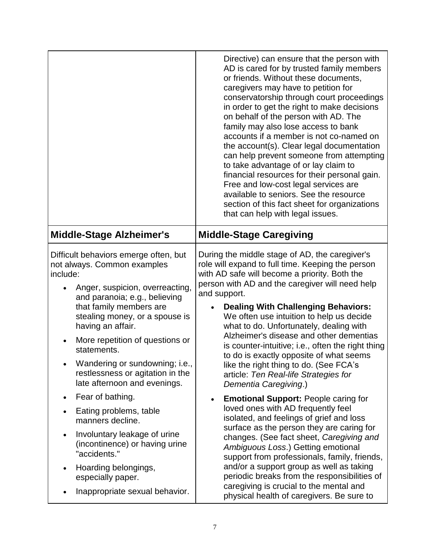|                                                                                                                                                                                                                                                                                                                                                                                                | Directive) can ensure that the person with<br>AD is cared for by trusted family members<br>or friends. Without these documents,<br>caregivers may have to petition for<br>conservatorship through court proceedings<br>in order to get the right to make decisions<br>on behalf of the person with AD. The<br>family may also lose access to bank<br>accounts if a member is not co-named on<br>the account(s). Clear legal documentation<br>can help prevent someone from attempting<br>to take advantage of or lay claim to<br>financial resources for their personal gain.<br>Free and low-cost legal services are<br>available to seniors. See the resource<br>section of this fact sheet for organizations<br>that can help with legal issues. |
|------------------------------------------------------------------------------------------------------------------------------------------------------------------------------------------------------------------------------------------------------------------------------------------------------------------------------------------------------------------------------------------------|-----------------------------------------------------------------------------------------------------------------------------------------------------------------------------------------------------------------------------------------------------------------------------------------------------------------------------------------------------------------------------------------------------------------------------------------------------------------------------------------------------------------------------------------------------------------------------------------------------------------------------------------------------------------------------------------------------------------------------------------------------|
| <b>Middle-Stage Alzheimer's</b>                                                                                                                                                                                                                                                                                                                                                                | <b>Middle-Stage Caregiving</b>                                                                                                                                                                                                                                                                                                                                                                                                                                                                                                                                                                                                                                                                                                                      |
| Difficult behaviors emerge often, but<br>not always. Common examples<br>include:<br>Anger, suspicion, overreacting,<br>and paranoia; e.g., believing<br>that family members are<br>stealing money, or a spouse is<br>having an affair.<br>More repetition of questions or<br>statements.<br>Wandering or sundowning; i.e.,<br>restlessness or agitation in the<br>late afternoon and evenings. | During the middle stage of AD, the caregiver's<br>role will expand to full time. Keeping the person<br>with AD safe will become a priority. Both the<br>person with AD and the caregiver will need help<br>and support.<br><b>Dealing With Challenging Behaviors:</b><br>We often use intuition to help us decide<br>what to do. Unfortunately, dealing with<br>Alzheimer's disease and other dementias<br>is counter-intuitive; i.e., often the right thing<br>to do is exactly opposite of what seems<br>like the right thing to do. (See FCA's<br>article: Ten Real-life Strategies for<br>Dementia Caregiving.)                                                                                                                                 |
| Fear of bathing.<br>Eating problems, table<br>manners decline.<br>Involuntary leakage of urine<br>(incontinence) or having urine<br>"accidents."<br>Hoarding belongings,<br>especially paper.<br>Inappropriate sexual behavior.                                                                                                                                                                | <b>Emotional Support: People caring for</b><br>loved ones with AD frequently feel<br>isolated, and feelings of grief and loss<br>surface as the person they are caring for<br>changes. (See fact sheet, Caregiving and<br>Ambiguous Loss.) Getting emotional<br>support from professionals, family, friends,<br>and/or a support group as well as taking<br>periodic breaks from the responsibilities of<br>caregiving is crucial to the mental and<br>physical health of caregivers. Be sure to                                                                                                                                                                                                                                                    |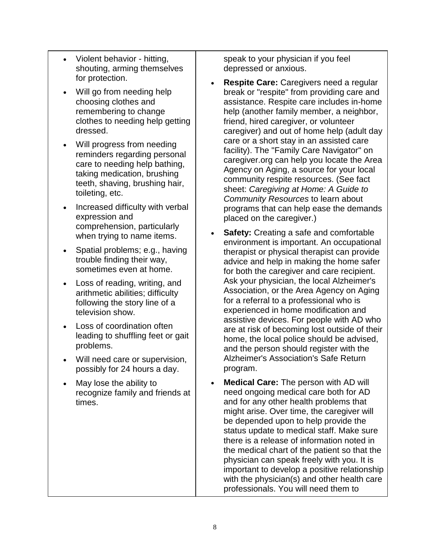- Violent behavior hitting, shouting, arming themselves for protection.
- Will go from needing help choosing clothes and remembering to change clothes to needing help getting dressed.
- Will progress from needing reminders regarding personal care to needing help bathing, taking medication, brushing teeth, shaving, brushing hair, toileting, etc.
- Increased difficulty with verbal expression and comprehension, particularly when trying to name items.
- Spatial problems; e.g., having trouble finding their way, sometimes even at home.
- Loss of reading, writing, and arithmetic abilities; difficulty following the story line of a television show.
- Loss of coordination often leading to shuffling feet or gait problems.
- Will need care or supervision, possibly for 24 hours a day.
- May lose the ability to recognize family and friends at times.

speak to your physician if you feel depressed or anxious.

- **Respite Care:** Caregivers need a regular break or "respite" from providing care and assistance. Respite care includes in-home help (another family member, a neighbor, friend, hired caregiver, or volunteer caregiver) and out of home help (adult day care or a short stay in an assisted care facility). The "Family Care Navigator" on caregiver.org can help you locate the Area Agency on Aging, a source for your local community respite resources. (See fact sheet: *Caregiving at Home: A Guide to Community Resources* to learn about programs that can help ease the demands placed on the caregiver.)
- **Safety:** Creating a safe and comfortable environment is important. An occupational therapist or physical therapist can provide advice and help in making the home safer for both the caregiver and care recipient. Ask your physician, the local Alzheimer's Association, or the Area Agency on Aging for a referral to a professional who is experienced in home modification and assistive devices. For people with AD who are at risk of becoming lost outside of their home, the local police should be advised, and the person should register with the Alzheimer's Association's Safe Return program.
- **Medical Care:** The person with AD will need ongoing medical care both for AD and for any other health problems that might arise. Over time, the caregiver will be depended upon to help provide the status update to medical staff. Make sure there is a release of information noted in the medical chart of the patient so that the physician can speak freely with you. It is important to develop a positive relationship with the physician(s) and other health care professionals. You will need them to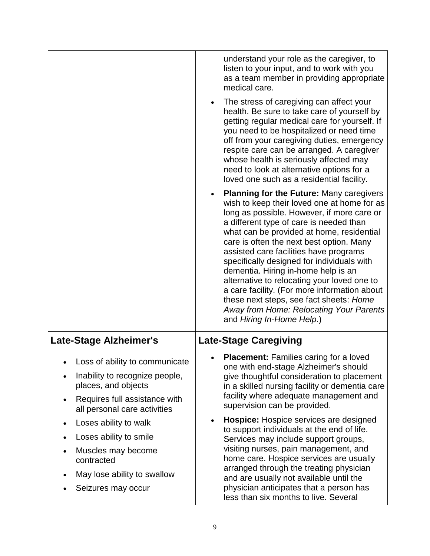|                                                                                                                                                          | understand your role as the caregiver, to<br>listen to your input, and to work with you<br>as a team member in providing appropriate<br>medical care.<br>The stress of caregiving can affect your<br>$\bullet$<br>health. Be sure to take care of yourself by<br>getting regular medical care for yourself. If<br>you need to be hospitalized or need time<br>off from your caregiving duties, emergency<br>respite care can be arranged. A caregiver<br>whose health is seriously affected may<br>need to look at alternative options for a<br>loved one such as a residential facility.                                         |
|----------------------------------------------------------------------------------------------------------------------------------------------------------|-----------------------------------------------------------------------------------------------------------------------------------------------------------------------------------------------------------------------------------------------------------------------------------------------------------------------------------------------------------------------------------------------------------------------------------------------------------------------------------------------------------------------------------------------------------------------------------------------------------------------------------|
|                                                                                                                                                          | <b>Planning for the Future: Many caregivers</b><br>wish to keep their loved one at home for as<br>long as possible. However, if more care or<br>a different type of care is needed than<br>what can be provided at home, residential<br>care is often the next best option. Many<br>assisted care facilities have programs<br>specifically designed for individuals with<br>dementia. Hiring in-home help is an<br>alternative to relocating your loved one to<br>a care facility. (For more information about<br>these next steps, see fact sheets: Home<br>Away from Home: Relocating Your Parents<br>and Hiring In-Home Help.) |
| <b>Late-Stage Alzheimer's</b>                                                                                                                            | <b>Late-Stage Caregiving</b>                                                                                                                                                                                                                                                                                                                                                                                                                                                                                                                                                                                                      |
| Loss of ability to communicate<br>Inability to recognize people,<br>places, and objects<br>Requires full assistance with<br>all personal care activities | <b>Placement:</b> Families caring for a loved<br>one with end-stage Alzheimer's should<br>give thoughtful consideration to placement<br>in a skilled nursing facility or dementia care<br>facility where adequate management and<br>supervision can be provided.                                                                                                                                                                                                                                                                                                                                                                  |
| Loses ability to walk<br>Loses ability to smile<br>Muscles may become<br>contracted<br>May lose ability to swallow<br>Seizures may occur                 | Hospice: Hospice services are designed<br>to support individuals at the end of life.<br>Services may include support groups,<br>visiting nurses, pain management, and<br>home care. Hospice services are usually<br>arranged through the treating physician<br>and are usually not available until the<br>physician anticipates that a person has<br>less than six months to live. Several                                                                                                                                                                                                                                        |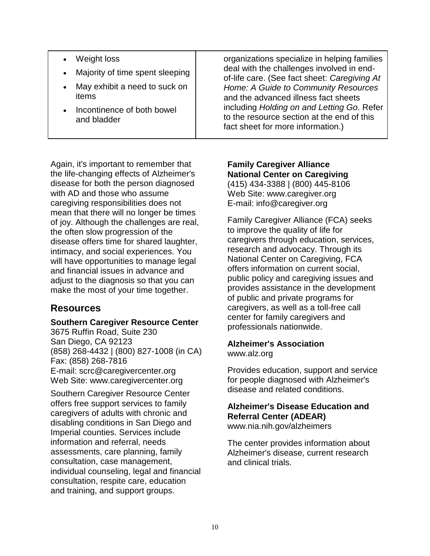- Weight loss
- Majority of time spent sleeping
- May exhibit a need to suck on items
- Incontinence of both bowel and bladder

Again, it's important to remember that the life-changing effects of Alzheimer's disease for both the person diagnosed with AD and those who assume caregiving responsibilities does not mean that there will no longer be times of joy. Although the challenges are real, the often slow progression of the disease offers time for shared laughter, intimacy, and social experiences. You will have opportunities to manage legal and financial issues in advance and adjust to the diagnosis so that you can make the most of your time together.

# **Resources**

### **Southern Caregiver Resource Center**

3675 Ruffin Road, Suite 230 San Diego, CA 92123 (858) 268-4432 | (800) 827-1008 (in CA) Fax: (858) 268-7816 E-mail: scrc@caregivercenter.org Web Site: www.caregivercenter.org

Southern Caregiver Resource Center offers free support services to family caregivers of adults with chronic and disabling conditions in San Diego and Imperial counties. Services include information and referral, needs assessments, care planning, family consultation, case management, individual counseling, legal and financial consultation, respite care, education and training, and support groups.

organizations specialize in helping families deal with the challenges involved in endof-life care. (See fact sheet: *Caregiving At Home: A Guide to Community Resources* and the advanced illness fact sheets including *Holding on and Letting Go*. Refer to the resource section at the end of this fact sheet for more information.)

### **Family Caregiver Alliance National Center on Caregiving** (415) 434-3388 | (800) 445-8106 Web Site: www[.caregiver.org](http://caregiver.org/)

E-mail: info@caregiver.org

Family Caregiver Alliance (FCA) seeks to improve the quality of life for caregivers through education, services, research and advocacy. Through its National Center on Caregiving, FCA offers information on current social, public policy and caregiving issues and provides assistance in the development of public and private programs for caregivers, as well as a toll-free call center for family caregivers and professionals nationwide.

## **Alzheimer's Association**

[www.alz.org](http://www.alz.org/)

Provides education, support and service for people diagnosed with Alzheimer's disease and related conditions.

#### **Alzheimer's Disease Education and Referral Center (ADEAR)** www.nia.nih.gov/alzheimers

The center provides information about Alzheimer's disease, current research and clinical trials.